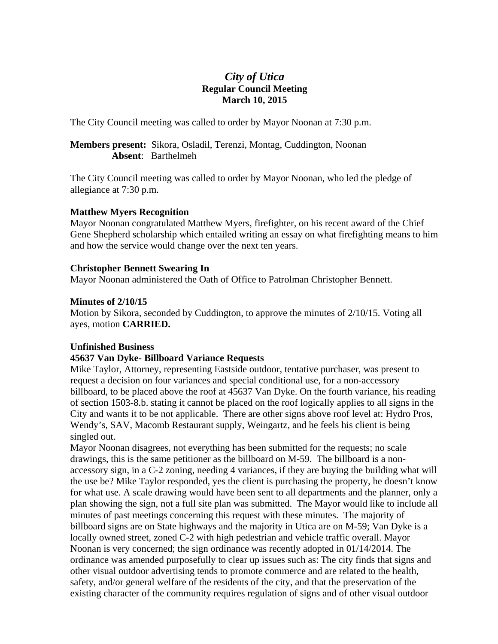# *City of Utica*  **Regular Council Meeting March 10, 2015**

The City Council meeting was called to order by Mayor Noonan at 7:30 p.m.

# **Members present:** Sikora, Osladil, Terenzi, Montag, Cuddington, Noonan **Absent**: Barthelmeh

The City Council meeting was called to order by Mayor Noonan, who led the pledge of allegiance at 7:30 p.m.

# **Matthew Myers Recognition**

Mayor Noonan congratulated Matthew Myers, firefighter, on his recent award of the Chief Gene Shepherd scholarship which entailed writing an essay on what firefighting means to him and how the service would change over the next ten years.

# **Christopher Bennett Swearing In**

Mayor Noonan administered the Oath of Office to Patrolman Christopher Bennett.

# **Minutes of 2/10/15**

Motion by Sikora, seconded by Cuddington, to approve the minutes of 2/10/15. Voting all ayes, motion **CARRIED.** 

# **Unfinished Business**

# **45637 Van Dyke- Billboard Variance Requests**

Mike Taylor, Attorney, representing Eastside outdoor, tentative purchaser, was present to request a decision on four variances and special conditional use, for a non-accessory billboard, to be placed above the roof at 45637 Van Dyke. On the fourth variance, his reading of section 1503-8.b. stating it cannot be placed on the roof logically applies to all signs in the City and wants it to be not applicable. There are other signs above roof level at: Hydro Pros, Wendy's, SAV, Macomb Restaurant supply, Weingartz, and he feels his client is being singled out.

Mayor Noonan disagrees, not everything has been submitted for the requests; no scale drawings, this is the same petitioner as the billboard on M-59. The billboard is a nonaccessory sign, in a C-2 zoning, needing 4 variances, if they are buying the building what will the use be? Mike Taylor responded, yes the client is purchasing the property, he doesn't know for what use. A scale drawing would have been sent to all departments and the planner, only a plan showing the sign, not a full site plan was submitted. The Mayor would like to include all minutes of past meetings concerning this request with these minutes. The majority of billboard signs are on State highways and the majority in Utica are on M-59; Van Dyke is a locally owned street, zoned C-2 with high pedestrian and vehicle traffic overall. Mayor Noonan is very concerned; the sign ordinance was recently adopted in 01/14/2014. The ordinance was amended purposefully to clear up issues such as: The city finds that signs and other visual outdoor advertising tends to promote commerce and are related to the health, safety, and/or general welfare of the residents of the city, and that the preservation of the existing character of the community requires regulation of signs and of other visual outdoor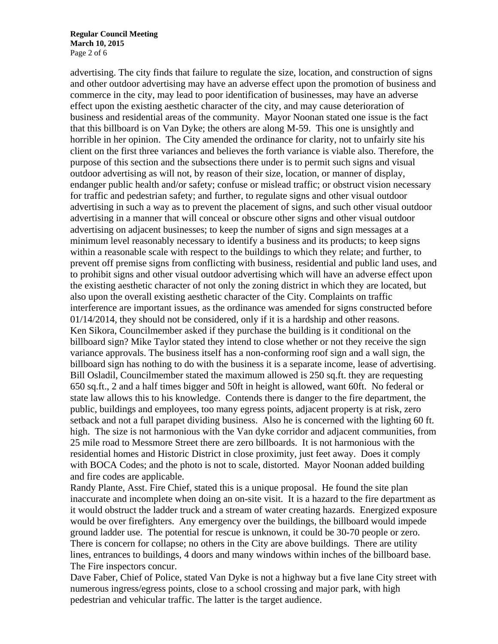**Regular Council Meeting March 10, 2015**  Page 2 of 6

advertising. The city finds that failure to regulate the size, location, and construction of signs and other outdoor advertising may have an adverse effect upon the promotion of business and commerce in the city, may lead to poor identification of businesses, may have an adverse effect upon the existing aesthetic character of the city, and may cause deterioration of business and residential areas of the community. Mayor Noonan stated one issue is the fact that this billboard is on Van Dyke; the others are along M-59. This one is unsightly and horrible in her opinion. The City amended the ordinance for clarity, not to unfairly site his client on the first three variances and believes the forth variance is viable also. Therefore, the purpose of this section and the subsections there under is to permit such signs and visual outdoor advertising as will not, by reason of their size, location, or manner of display, endanger public health and/or safety; confuse or mislead traffic; or obstruct vision necessary for traffic and pedestrian safety; and further, to regulate signs and other visual outdoor advertising in such a way as to prevent the placement of signs, and such other visual outdoor advertising in a manner that will conceal or obscure other signs and other visual outdoor advertising on adjacent businesses; to keep the number of signs and sign messages at a minimum level reasonably necessary to identify a business and its products; to keep signs within a reasonable scale with respect to the buildings to which they relate; and further, to prevent off premise signs from conflicting with business, residential and public land uses, and to prohibit signs and other visual outdoor advertising which will have an adverse effect upon the existing aesthetic character of not only the zoning district in which they are located, but also upon the overall existing aesthetic character of the City. Complaints on traffic interference are important issues, as the ordinance was amended for signs constructed before 01/14/2014, they should not be considered, only if it is a hardship and other reasons. Ken Sikora, Councilmember asked if they purchase the building is it conditional on the billboard sign? Mike Taylor stated they intend to close whether or not they receive the sign variance approvals. The business itself has a non-conforming roof sign and a wall sign, the billboard sign has nothing to do with the business it is a separate income, lease of advertising. Bill Osladil, Councilmember stated the maximum allowed is 250 sq.ft. they are requesting 650 sq.ft., 2 and a half times bigger and 50ft in height is allowed, want 60ft. No federal or state law allows this to his knowledge. Contends there is danger to the fire department, the public, buildings and employees, too many egress points, adjacent property is at risk, zero setback and not a full parapet dividing business. Also he is concerned with the lighting 60 ft. high. The size is not harmonious with the Van dyke corridor and adjacent communities, from 25 mile road to Messmore Street there are zero billboards. It is not harmonious with the residential homes and Historic District in close proximity, just feet away. Does it comply with BOCA Codes; and the photo is not to scale, distorted. Mayor Noonan added building and fire codes are applicable.

Randy Plante, Asst. Fire Chief, stated this is a unique proposal. He found the site plan inaccurate and incomplete when doing an on-site visit. It is a hazard to the fire department as it would obstruct the ladder truck and a stream of water creating hazards. Energized exposure would be over firefighters. Any emergency over the buildings, the billboard would impede ground ladder use. The potential for rescue is unknown, it could be 30-70 people or zero. There is concern for collapse; no others in the City are above buildings. There are utility lines, entrances to buildings, 4 doors and many windows within inches of the billboard base. The Fire inspectors concur.

Dave Faber, Chief of Police, stated Van Dyke is not a highway but a five lane City street with numerous ingress/egress points, close to a school crossing and major park, with high pedestrian and vehicular traffic. The latter is the target audience.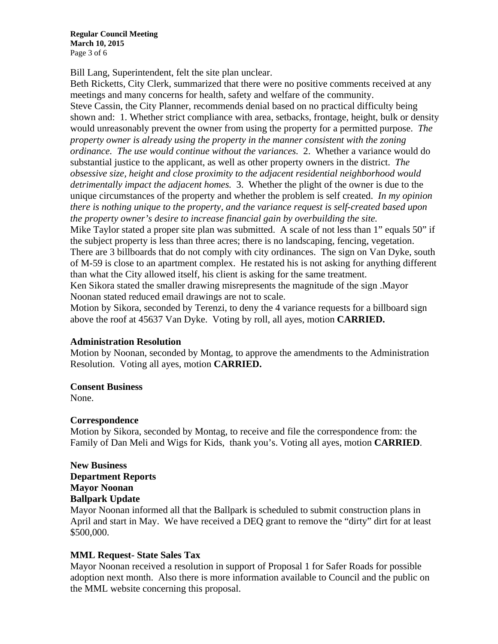**Regular Council Meeting March 10, 2015**  Page 3 of 6

Bill Lang, Superintendent, felt the site plan unclear.

Beth Ricketts, City Clerk, summarized that there were no positive comments received at any meetings and many concerns for health, safety and welfare of the community. Steve Cassin, the City Planner, recommends denial based on no practical difficulty being shown and: 1. Whether strict compliance with area, setbacks, frontage, height, bulk or density would unreasonably prevent the owner from using the property for a permitted purpose. *The property owner is already using the property in the manner consistent with the zoning ordinance. The use would continue without the variances.* 2. Whether a variance would do substantial justice to the applicant, as well as other property owners in the district. *The obsessive size, height and close proximity to the adjacent residential neighborhood would detrimentally impact the adjacent homes.* 3. Whether the plight of the owner is due to the unique circumstances of the property and whether the problem is self created. *In my opinion there is nothing unique to the property, and the variance request is self-created based upon the property owner's desire to increase financial gain by overbuilding the site.* 

Mike Taylor stated a proper site plan was submitted. A scale of not less than 1" equals 50" if the subject property is less than three acres; there is no landscaping, fencing, vegetation. There are 3 billboards that do not comply with city ordinances. The sign on Van Dyke, south of M-59 is close to an apartment complex. He restated his is not asking for anything different than what the City allowed itself, his client is asking for the same treatment.

Ken Sikora stated the smaller drawing misrepresents the magnitude of the sign .Mayor Noonan stated reduced email drawings are not to scale.

Motion by Sikora, seconded by Terenzi, to deny the 4 variance requests for a billboard sign above the roof at 45637 Van Dyke. Voting by roll, all ayes, motion **CARRIED.** 

## **Administration Resolution**

Motion by Noonan, seconded by Montag, to approve the amendments to the Administration Resolution. Voting all ayes, motion **CARRIED.** 

## **Consent Business**

None.

## **Correspondence**

Motion by Sikora, seconded by Montag, to receive and file the correspondence from: the Family of Dan Meli and Wigs for Kids, thank you's. Voting all ayes, motion **CARRIED**.

# **New Business Department Reports Mayor Noonan Ballpark Update**

Mayor Noonan informed all that the Ballpark is scheduled to submit construction plans in April and start in May. We have received a DEQ grant to remove the "dirty" dirt for at least \$500,000.

# **MML Request- State Sales Tax**

Mayor Noonan received a resolution in support of Proposal 1 for Safer Roads for possible adoption next month. Also there is more information available to Council and the public on the MML website concerning this proposal.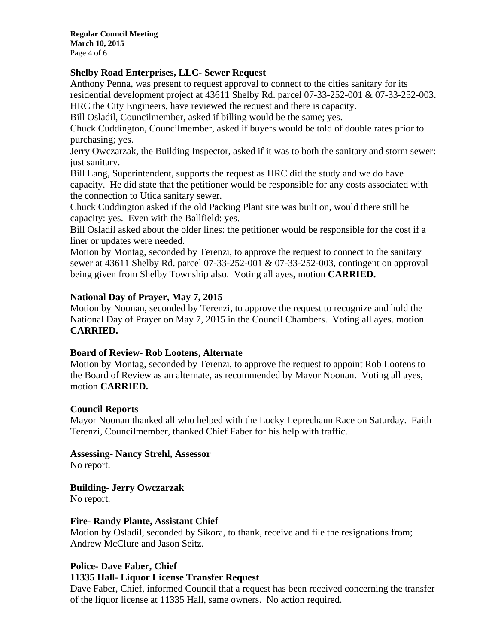**Regular Council Meeting March 10, 2015**  Page 4 of 6

## **Shelby Road Enterprises, LLC- Sewer Request**

Anthony Penna, was present to request approval to connect to the cities sanitary for its residential development project at 43611 Shelby Rd. parcel 07-33-252-001 & 07-33-252-003. HRC the City Engineers, have reviewed the request and there is capacity.

Bill Osladil, Councilmember, asked if billing would be the same; yes.

Chuck Cuddington, Councilmember, asked if buyers would be told of double rates prior to purchasing; yes.

Jerry Owczarzak, the Building Inspector, asked if it was to both the sanitary and storm sewer: just sanitary.

Bill Lang, Superintendent, supports the request as HRC did the study and we do have capacity. He did state that the petitioner would be responsible for any costs associated with the connection to Utica sanitary sewer.

Chuck Cuddington asked if the old Packing Plant site was built on, would there still be capacity: yes. Even with the Ballfield: yes.

Bill Osladil asked about the older lines: the petitioner would be responsible for the cost if a liner or updates were needed.

Motion by Montag, seconded by Terenzi, to approve the request to connect to the sanitary sewer at 43611 Shelby Rd. parcel 07-33-252-001 & 07-33-252-003, contingent on approval being given from Shelby Township also. Voting all ayes, motion **CARRIED.** 

# **National Day of Prayer, May 7, 2015**

Motion by Noonan, seconded by Terenzi, to approve the request to recognize and hold the National Day of Prayer on May 7, 2015 in the Council Chambers. Voting all ayes. motion **CARRIED.** 

## **Board of Review- Rob Lootens, Alternate**

Motion by Montag, seconded by Terenzi, to approve the request to appoint Rob Lootens to the Board of Review as an alternate, as recommended by Mayor Noonan. Voting all ayes, motion **CARRIED.** 

## **Council Reports**

Mayor Noonan thanked all who helped with the Lucky Leprechaun Race on Saturday. Faith Terenzi, Councilmember, thanked Chief Faber for his help with traffic.

**Assessing- Nancy Strehl, Assessor**  No report.

**Building- Jerry Owczarzak** 

No report.

## **Fire- Randy Plante, Assistant Chief**

Motion by Osladil, seconded by Sikora, to thank, receive and file the resignations from; Andrew McClure and Jason Seitz.

# **Police- Dave Faber, Chief**

## **11335 Hall- Liquor License Transfer Request**

Dave Faber, Chief, informed Council that a request has been received concerning the transfer of the liquor license at 11335 Hall, same owners. No action required.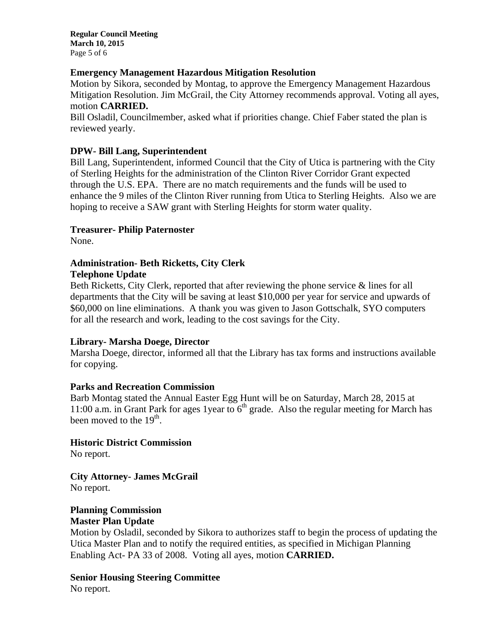**Regular Council Meeting March 10, 2015**  Page 5 of 6

# **Emergency Management Hazardous Mitigation Resolution**

Motion by Sikora, seconded by Montag, to approve the Emergency Management Hazardous Mitigation Resolution. Jim McGrail, the City Attorney recommends approval. Voting all ayes, motion **CARRIED.** 

Bill Osladil, Councilmember, asked what if priorities change. Chief Faber stated the plan is reviewed yearly.

# **DPW- Bill Lang, Superintendent**

Bill Lang, Superintendent, informed Council that the City of Utica is partnering with the City of Sterling Heights for the administration of the Clinton River Corridor Grant expected through the U.S. EPA. There are no match requirements and the funds will be used to enhance the 9 miles of the Clinton River running from Utica to Sterling Heights. Also we are hoping to receive a SAW grant with Sterling Heights for storm water quality.

# **Treasurer- Philip Paternoster**

None.

## **Administration- Beth Ricketts, City Clerk Telephone Update**

Beth Ricketts, City Clerk, reported that after reviewing the phone service & lines for all departments that the City will be saving at least \$10,000 per year for service and upwards of \$60,000 on line eliminations. A thank you was given to Jason Gottschalk, SYO computers for all the research and work, leading to the cost savings for the City.

## **Library- Marsha Doege, Director**

Marsha Doege, director, informed all that the Library has tax forms and instructions available for copying.

# **Parks and Recreation Commission**

Barb Montag stated the Annual Easter Egg Hunt will be on Saturday, March 28, 2015 at 11:00 a.m. in Grant Park for ages 1 year to  $6<sup>th</sup>$  grade. Also the regular meeting for March has been moved to the  $19<sup>th</sup>$ .

**Historic District Commission**  No report.

**City Attorney- James McGrail**  No report.

#### **Planning Commission Master Plan Update**

Motion by Osladil, seconded by Sikora to authorizes staff to begin the process of updating the Utica Master Plan and to notify the required entities, as specified in Michigan Planning Enabling Act- PA 33 of 2008. Voting all ayes, motion **CARRIED.** 

**Senior Housing Steering Committee**  No report.